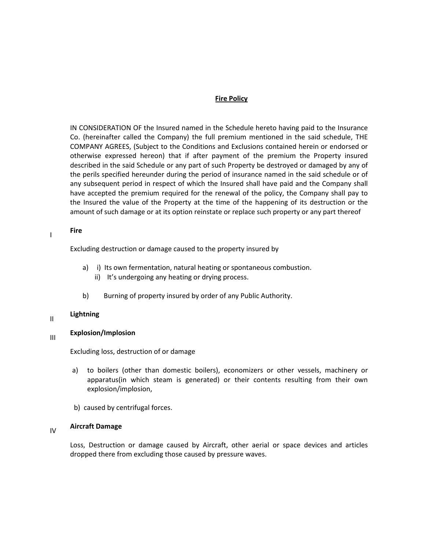### Fire Policy

IN CONSIDERATION OF the Insured named in the Schedule hereto having paid to the Insurance Co. (hereinafter called the Company) the full premium mentioned in the said schedule, THE COMPANY AGREES, (Subject to the Conditions and Exclusions contained herein or endorsed or otherwise expressed hereon) that if after payment of the premium the Property insured described in the said Schedule or any part of such Property be destroyed or damaged by any of the perils specified hereunder during the period of insurance named in the said schedule or of any subsequent period in respect of which the Insured shall have paid and the Company shall have accepted the premium required for the renewal of the policy, the Company shall pay to the Insured the value of the Property at the time of the happening of its destruction or the amount of such damage or at its option reinstate or replace such property or any part thereof

## I<sub>I</sub>Fire

Excluding destruction or damage caused to the property insured by

- a) i) Its own fermentation, natural heating or spontaneous combustion.
	- ii) It's undergoing any heating or drying process.
- b) Burning of property insured by order of any Public Authority.

# II Lightning

# **III** Explosion/Implosion

Excluding loss, destruction of or damage

- a) to boilers (other than domestic boilers), economizers or other vessels, machinery or apparatus(in which steam is generated) or their contents resulting from their own explosion/implosion,
- b) caused by centrifugal forces.

# IV Aircraft Damage

Loss, Destruction or damage caused by Aircraft, other aerial or space devices and articles dropped there from excluding those caused by pressure waves.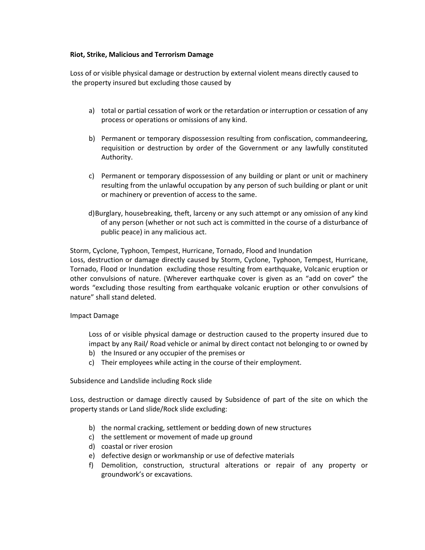#### Riot, Strike, Malicious and Terrorism Damage

Loss of or visible physical damage or destruction by external violent means directly caused to the property insured but excluding those caused by

- a) total or partial cessation of work or the retardation or interruption or cessation of any process or operations or omissions of any kind.
- b) Permanent or temporary dispossession resulting from confiscation, commandeering, requisition or destruction by order of the Government or any lawfully constituted Authority.
- c) Permanent or temporary dispossession of any building or plant or unit or machinery resulting from the unlawful occupation by any person of such building or plant or unit or machinery or prevention of access to the same.
- d)Burglary, housebreaking, theft, larceny or any such attempt or any omission of any kind of any person (whether or not such act is committed in the course of a disturbance of public peace) in any malicious act.

Storm, Cyclone, Typhoon, Tempest, Hurricane, Tornado, Flood and Inundation

Loss, destruction or damage directly caused by Storm, Cyclone, Typhoon, Tempest, Hurricane, Tornado, Flood or Inundation excluding those resulting from earthquake, Volcanic eruption or other convulsions of nature. (Wherever earthquake cover is given as an "add on cover" the words "excluding those resulting from earthquake volcanic eruption or other convulsions of nature" shall stand deleted.

#### Impact Damage

Loss of or visible physical damage or destruction caused to the property insured due to impact by any Rail/ Road vehicle or animal by direct contact not belonging to or owned by b) the Insured or any occupier of the premises or

c) Their employees while acting in the course of their employment.

Subsidence and Landslide including Rock slide

Loss, destruction or damage directly caused by Subsidence of part of the site on which the property stands or Land slide/Rock slide excluding:

- b) the normal cracking, settlement or bedding down of new structures
- c) the settlement or movement of made up ground
- d) coastal or river erosion
- e) defective design or workmanship or use of defective materials
- f) Demolition, construction, structural alterations or repair of any property or groundwork's or excavations.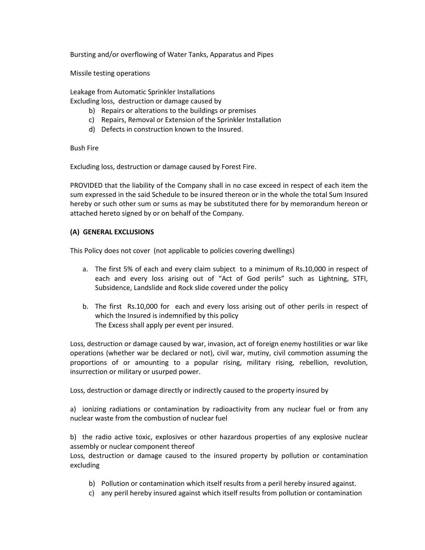Bursting and/or overflowing of Water Tanks, Apparatus and Pipes

Missile testing operations

Leakage from Automatic Sprinkler Installations Excluding loss, destruction or damage caused by

- b) Repairs or alterations to the buildings or premises
- c) Repairs, Removal or Extension of the Sprinkler Installation
- d) Defects in construction known to the Insured.

Bush Fire

Excluding loss, destruction or damage caused by Forest Fire.

PROVIDED that the liability of the Company shall in no case exceed in respect of each item the sum expressed in the said Schedule to be insured thereon or in the whole the total Sum Insured hereby or such other sum or sums as may be substituted there for by memorandum hereon or attached hereto signed by or on behalf of the Company.

#### (A) GENERAL EXCLUSIONS

This Policy does not cover (not applicable to policies covering dwellings)

- a. The first 5% of each and every claim subject to a minimum of Rs.10,000 in respect of each and every loss arising out of "Act of God perils" such as Lightning, STFI, Subsidence, Landslide and Rock slide covered under the policy
- b. The first Rs.10,000 for each and every loss arising out of other perils in respect of which the Insured is indemnified by this policy The Excess shall apply per event per insured.

Loss, destruction or damage caused by war, invasion, act of foreign enemy hostilities or war like operations (whether war be declared or not), civil war, mutiny, civil commotion assuming the proportions of or amounting to a popular rising, military rising, rebellion, revolution, insurrection or military or usurped power.

Loss, destruction or damage directly or indirectly caused to the property insured by

a) ionizing radiations or contamination by radioactivity from any nuclear fuel or from any nuclear waste from the combustion of nuclear fuel

b) the radio active toxic, explosives or other hazardous properties of any explosive nuclear assembly or nuclear component thereof

Loss, destruction or damage caused to the insured property by pollution or contamination excluding

- b) Pollution or contamination which itself results from a peril hereby insured against.
- c) any peril hereby insured against which itself results from pollution or contamination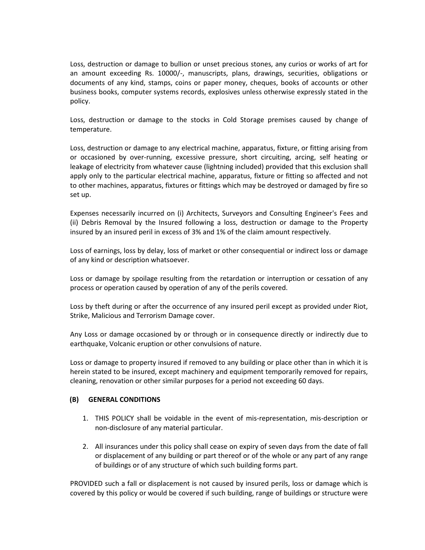Loss, destruction or damage to bullion or unset precious stones, any curios or works of art for an amount exceeding Rs. 10000/-, manuscripts, plans, drawings, securities, obligations or documents of any kind, stamps, coins or paper money, cheques, books of accounts or other business books, computer systems records, explosives unless otherwise expressly stated in the policy.

Loss, destruction or damage to the stocks in Cold Storage premises caused by change of temperature.

Loss, destruction or damage to any electrical machine, apparatus, fixture, or fitting arising from or occasioned by over-running, excessive pressure, short circuiting, arcing, self heating or leakage of electricity from whatever cause (lightning included) provided that this exclusion shall apply only to the particular electrical machine, apparatus, fixture or fitting so affected and not to other machines, apparatus, fixtures or fittings which may be destroyed or damaged by fire so set up.

Expenses necessarily incurred on (i) Architects, Surveyors and Consulting Engineer's Fees and (ii) Debris Removal by the Insured following a loss, destruction or damage to the Property insured by an insured peril in excess of 3% and 1% of the claim amount respectively.

Loss of earnings, loss by delay, loss of market or other consequential or indirect loss or damage of any kind or description whatsoever.

Loss or damage by spoilage resulting from the retardation or interruption or cessation of any process or operation caused by operation of any of the perils covered.

Loss by theft during or after the occurrence of any insured peril except as provided under Riot, Strike, Malicious and Terrorism Damage cover.

Any Loss or damage occasioned by or through or in consequence directly or indirectly due to earthquake, Volcanic eruption or other convulsions of nature.

Loss or damage to property insured if removed to any building or place other than in which it is herein stated to be insured, except machinery and equipment temporarily removed for repairs, cleaning, renovation or other similar purposes for a period not exceeding 60 days.

### (B) GENERAL CONDITIONS

- 1. THIS POLICY shall be voidable in the event of mis-representation, mis-description or non-disclosure of any material particular.
- 2. All insurances under this policy shall cease on expiry of seven days from the date of fall or displacement of any building or part thereof or of the whole or any part of any range of buildings or of any structure of which such building forms part.

PROVIDED such a fall or displacement is not caused by insured perils, loss or damage which is covered by this policy or would be covered if such building, range of buildings or structure were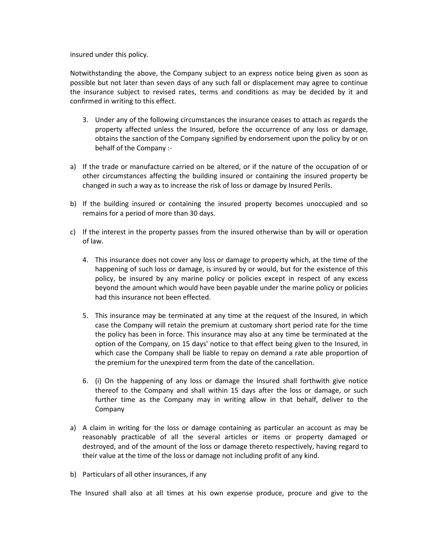insured under this policy.

Notwithstanding the above, the Company subject to an express notice being given as soon as possible but not later than seven days of any such fall or displacement may agree to continue the insurance subject to revised rates, terms and conditions as may be decided by it and confirmed in writing to this effect.

- 3. Under any of the following circumstances the insurance ceases to attach as regards the property affected unless the Insured, before the occurrence of any loss or damage, obtains the sanction of the Company signified by endorsement upon the policy by or on behalf of the Company :-
- a) If the trade or manufacture carried on be altered, or if the nature of the occupation of or other circumstances affecting the building insured or containing the insured property be changed in such a way as to increase the risk of loss or damage by Insured Perils.
- b) If the building insured or containing the insured property becomes unoccupied and so remains for a period of more than 30 days.
- c) If the interest in the property passes from the insured otherwise than by will or operation of law.
	- 4. This insurance does not cover any loss or damage to property which, at the time of the happening of such loss or damage, is insured by or would, but for the existence of this policy, be insured by any marine policy or policies except in respect of any excess beyond the amount which would have been payable under the marine policy or policies had this insurance not been effected.
	- 5. This insurance may be terminated at any time at the request of the Insured, in which case the Company will retain the premium at customary short period rate for the time the policy has been in force. This insurance may also at any time be terminated at the option of the Company, on 15 days' notice to that effect being given to the Insured, in which case the Company shall be liable to repay on demand a rate able proportion of the premium for the unexpired term from the date of the cancellation.
	- 6. (i) On the happening of any loss or damage the Insured shall forthwith give notice thereof to the Company and shall within 15 days after the loss or damage, or such further time as the Company may in writing allow in that behalf, deliver to the Company
- a) A claim in writing for the loss or damage containing as particular an account as may be reasonably practicable of all the several articles or items or property damaged or destroyed, and of the amount of the loss or damage thereto respectively, having regard to their value at the time of the loss or damage not including profit of any kind.
- b) Particulars of all other insurances, if any

The Insured shall also at all times at his own expense produce, procure and give to the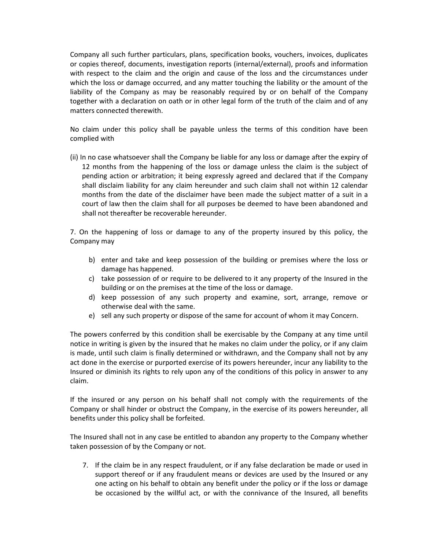Company all such further particulars, plans, specification books, vouchers, invoices, duplicates or copies thereof, documents, investigation reports (internal/external), proofs and information with respect to the claim and the origin and cause of the loss and the circumstances under which the loss or damage occurred, and any matter touching the liability or the amount of the liability of the Company as may be reasonably required by or on behalf of the Company together with a declaration on oath or in other legal form of the truth of the claim and of any matters connected therewith.

No claim under this policy shall be payable unless the terms of this condition have been complied with

(ii) In no case whatsoever shall the Company be liable for any loss or damage after the expiry of 12 months from the happening of the loss or damage unless the claim is the subject of pending action or arbitration; it being expressly agreed and declared that if the Company shall disclaim liability for any claim hereunder and such claim shall not within 12 calendar months from the date of the disclaimer have been made the subject matter of a suit in a court of law then the claim shall for all purposes be deemed to have been abandoned and shall not thereafter be recoverable hereunder.

7. On the happening of loss or damage to any of the property insured by this policy, the Company may

- b) enter and take and keep possession of the building or premises where the loss or damage has happened.
- c) take possession of or require to be delivered to it any property of the Insured in the building or on the premises at the time of the loss or damage.
- d) keep possession of any such property and examine, sort, arrange, remove or otherwise deal with the same.
- e) sell any such property or dispose of the same for account of whom it may Concern.

The powers conferred by this condition shall be exercisable by the Company at any time until notice in writing is given by the insured that he makes no claim under the policy, or if any claim is made, until such claim is finally determined or withdrawn, and the Company shall not by any act done in the exercise or purported exercise of its powers hereunder, incur any liability to the Insured or diminish its rights to rely upon any of the conditions of this policy in answer to any claim.

If the insured or any person on his behalf shall not comply with the requirements of the Company or shall hinder or obstruct the Company, in the exercise of its powers hereunder, all benefits under this policy shall be forfeited.

The Insured shall not in any case be entitled to abandon any property to the Company whether taken possession of by the Company or not.

7. If the claim be in any respect fraudulent, or if any false declaration be made or used in support thereof or if any fraudulent means or devices are used by the Insured or any one acting on his behalf to obtain any benefit under the policy or if the loss or damage be occasioned by the willful act, or with the connivance of the Insured, all benefits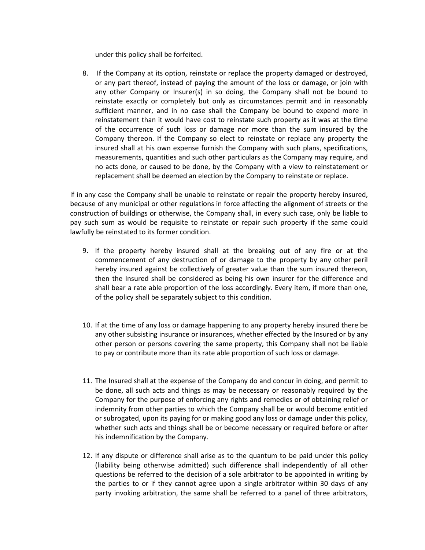under this policy shall be forfeited.

8. If the Company at its option, reinstate or replace the property damaged or destroyed, or any part thereof, instead of paying the amount of the loss or damage, or join with any other Company or Insurer(s) in so doing, the Company shall not be bound to reinstate exactly or completely but only as circumstances permit and in reasonably sufficient manner, and in no case shall the Company be bound to expend more in reinstatement than it would have cost to reinstate such property as it was at the time of the occurrence of such loss or damage nor more than the sum insured by the Company thereon. If the Company so elect to reinstate or replace any property the insured shall at his own expense furnish the Company with such plans, specifications, measurements, quantities and such other particulars as the Company may require, and no acts done, or caused to be done, by the Company with a view to reinstatement or replacement shall be deemed an election by the Company to reinstate or replace.

If in any case the Company shall be unable to reinstate or repair the property hereby insured, because of any municipal or other regulations in force affecting the alignment of streets or the construction of buildings or otherwise, the Company shall, in every such case, only be liable to pay such sum as would be requisite to reinstate or repair such property if the same could lawfully be reinstated to its former condition.

- 9. If the property hereby insured shall at the breaking out of any fire or at the commencement of any destruction of or damage to the property by any other peril hereby insured against be collectively of greater value than the sum insured thereon, then the Insured shall be considered as being his own insurer for the difference and shall bear a rate able proportion of the loss accordingly. Every item, if more than one, of the policy shall be separately subject to this condition.
- 10. If at the time of any loss or damage happening to any property hereby insured there be any other subsisting insurance or insurances, whether effected by the Insured or by any other person or persons covering the same property, this Company shall not be liable to pay or contribute more than its rate able proportion of such loss or damage.
- 11. The Insured shall at the expense of the Company do and concur in doing, and permit to be done, all such acts and things as may be necessary or reasonably required by the Company for the purpose of enforcing any rights and remedies or of obtaining relief or indemnity from other parties to which the Company shall be or would become entitled or subrogated, upon its paying for or making good any loss or damage under this policy, whether such acts and things shall be or become necessary or required before or after his indemnification by the Company.
- 12. If any dispute or difference shall arise as to the quantum to be paid under this policy (liability being otherwise admitted) such difference shall independently of all other questions be referred to the decision of a sole arbitrator to be appointed in writing by the parties to or if they cannot agree upon a single arbitrator within 30 days of any party invoking arbitration, the same shall be referred to a panel of three arbitrators,